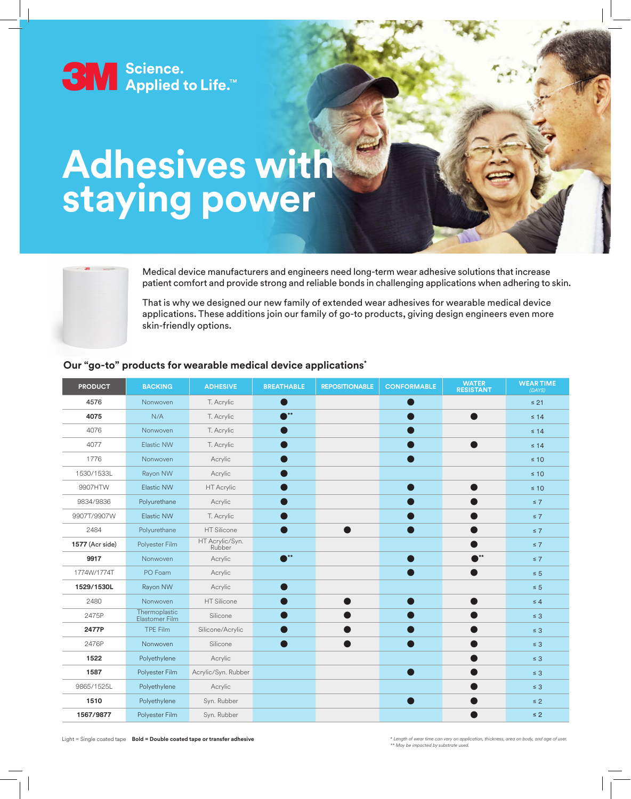

# **Adhesives with staying power**



Medical device manufacturers and engineers need long-term wear adhesive solutions that increase patient comfort and provide strong and reliable bonds in challenging applications when adhering to skin.

That is why we designed our new family of extended wear adhesives for wearable medical device applications. These additions join our family of go-to products, giving design engineers even more skin-friendly options.

#### **Our "go-to" products for wearable medical device applications\***

| <b>PRODUCT</b>         | <b>BACKING</b>                  | <b>ADHESIVE</b>           | <b>BREATHABLE</b>         | <b>REPOSITIONABLE</b> | <b>CONFORMABLE</b> | <b>WATER</b><br><b>RESISTANT</b> | <b>WEAR TIME</b><br>(DAYS) |
|------------------------|---------------------------------|---------------------------|---------------------------|-----------------------|--------------------|----------------------------------|----------------------------|
| 4576                   | Nonwoven                        | T. Acrylic                |                           |                       |                    |                                  | $\leq 21$                  |
| 4075                   | N/A                             | T. Acrylic                | $\mathbb{R}^{**}$         |                       |                    |                                  | $\leq 14$                  |
| 4076                   | Nonwoven                        | T. Acrylic                |                           |                       |                    |                                  | $\leq 14$                  |
| 4077                   | <b>Elastic NW</b>               | T. Acrylic                |                           |                       |                    |                                  | $\leq 14$                  |
| 1776                   | Nonwoven                        | Acrylic                   |                           |                       |                    |                                  | $\leq 10$                  |
| 1530/1533L             | Rayon NW                        | Acrylic                   |                           |                       |                    |                                  | $\leq 10$                  |
| 9907HTW                | Elastic NW                      | HT Acrylic                |                           |                       |                    |                                  | $\leq 10$                  |
| 9834/9836              | Polyurethane                    | Acrylic                   |                           |                       |                    |                                  | $\leq 7$                   |
| 9907T/9907W            | Elastic NW                      | T. Acrylic                |                           |                       |                    |                                  | $\leq 7$                   |
| 2484                   | Polyurethane                    | <b>HT Silicone</b>        |                           |                       |                    |                                  | $\leq 7$                   |
| <b>1577</b> (Acr side) | Polyester Film                  | HT Acrylic/Syn.<br>Rubber |                           |                       |                    |                                  | $\leq 7$                   |
| 9917                   | Nonwoven                        | Acrylic                   | $\mathbf{A}^{\star\star}$ |                       |                    | $\mathbf{r}^*$                   | $\leq 7$                   |
| 1774W/1774T            | PO Foam                         | Acrylic                   |                           |                       | - 1                |                                  | $\leq 5$                   |
| 1529/1530L             | Rayon NW                        | Acrylic                   |                           |                       |                    |                                  | $\leq 5$                   |
| 2480                   | Nonwoven                        | HT Silicone               |                           |                       |                    |                                  | $\leq 4$                   |
| 2475P                  | Thermoplastic<br>Elastomer Film | Silicone                  |                           |                       |                    |                                  | $\leq 3$                   |
| 2477P                  | <b>TPE Film</b>                 | Silicone/Acrylic          |                           |                       |                    |                                  | $\leq 3$                   |
| 2476P                  | Nonwoven                        | Silicone                  |                           |                       |                    |                                  | $\leq 3$                   |
| 1522                   | Polyethylene                    | Acrylic                   |                           |                       |                    |                                  | $\leq 3$                   |
| 1587                   | Polyester Film                  | Acrylic/Syn. Rubber       |                           |                       |                    |                                  | $\leq 3$                   |
| 9865/1525L             | Polyethylene                    | Acrylic                   |                           |                       |                    |                                  | $\leq 3$                   |
| 1510                   | Polyethylene                    | Syn. Rubber               |                           |                       |                    |                                  | $\leq 2$                   |
| 1567/9877              | Polyester Film                  | Syn. Rubber               |                           |                       |                    |                                  | $\leq 2$                   |

Light = Single coated tape **Bold = Double coated tape or transfer adhesive** 

*\** Length of wear time can vary on application, thickness, area on body, and age of user.<br>\*\* May be impacted by substrate used.